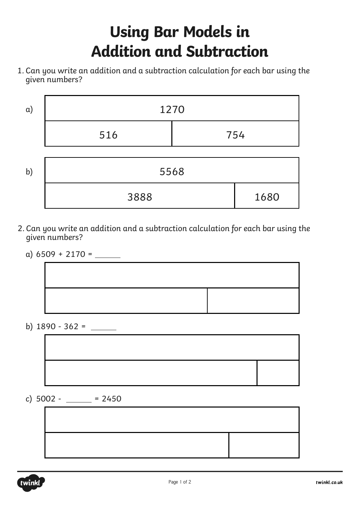## **Using Bar Models in Addition and Subtraction**

1. Can you write an addition and a subtraction calculation for each bar using the given numbers?



- 2. Can you write an addition and a subtraction calculation for each bar using the given numbers?
	-



b) 1890 - 362 =

c)  $5002 - 2450$ 



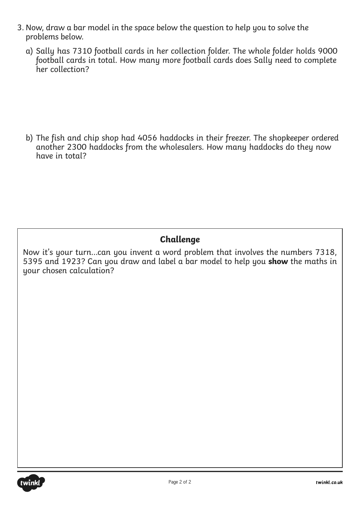- 3. Now, draw a bar model in the space below the question to help you to solve the problems below.
	- a) Sally has 7310 football cards in her collection folder. The whole folder holds 9000 football cards in total. How many more football cards does Sally need to complete her collection?

b) The fish and chip shop had 4056 haddocks in their freezer. The shopkeeper ordered another 2300 haddocks from the wholesalers. How many haddocks do they now have in total?

## **Challenge**

Now it's your turn…can you invent a word problem that involves the numbers 7318, 5395 and 1923? Can you draw and label a bar model to help you **show** the maths in your chosen calculation?